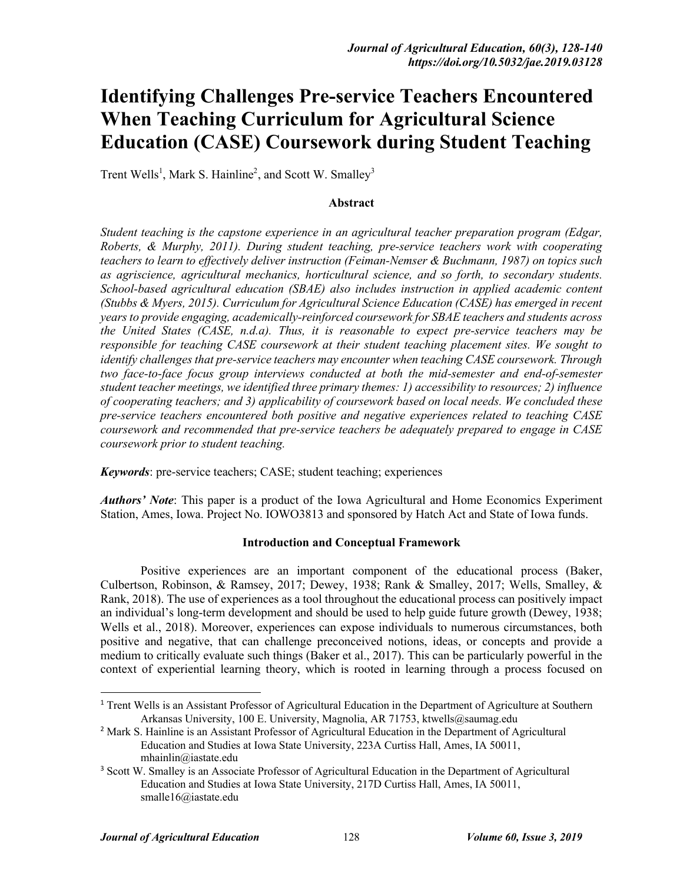# **Identifying Challenges Pre-service Teachers Encountered When Teaching Curriculum for Agricultural Science Education (CASE) Coursework during Student Teaching**

Trent Wells<sup>1</sup>, Mark S. Hainline<sup>2</sup>, and Scott W. Smalley<sup>3</sup>

#### **Abstract**

*Student teaching is the capstone experience in an agricultural teacher preparation program (Edgar, Roberts, & Murphy, 2011). During student teaching, pre-service teachers work with cooperating teachers to learn to effectively deliver instruction (Feiman-Nemser & Buchmann, 1987) on topics such as agriscience, agricultural mechanics, horticultural science, and so forth, to secondary students. School-based agricultural education (SBAE) also includes instruction in applied academic content (Stubbs & Myers, 2015). Curriculum for Agricultural Science Education (CASE) has emerged in recent years to provide engaging, academically-reinforced coursework for SBAE teachers and students across the United States (CASE, n.d.a). Thus, it is reasonable to expect pre-service teachers may be responsible for teaching CASE coursework at their student teaching placement sites. We sought to identify challenges that pre-service teachers may encounter when teaching CASE coursework. Through two face-to-face focus group interviews conducted at both the mid-semester and end-of-semester student teacher meetings, we identified three primary themes: 1) accessibility to resources; 2) influence of cooperating teachers; and 3) applicability of coursework based on local needs. We concluded these pre-service teachers encountered both positive and negative experiences related to teaching CASE coursework and recommended that pre-service teachers be adequately prepared to engage in CASE coursework prior to student teaching.*

*Keywords*: pre-service teachers; CASE; student teaching; experiences

*Authors' Note*: This paper is a product of the Iowa Agricultural and Home Economics Experiment Station, Ames, Iowa. Project No. IOWO3813 and sponsored by Hatch Act and State of Iowa funds.

#### **Introduction and Conceptual Framework**

Positive experiences are an important component of the educational process (Baker, Culbertson, Robinson, & Ramsey, 2017; Dewey, 1938; Rank & Smalley, 2017; Wells, Smalley, & Rank, 2018). The use of experiences as a tool throughout the educational process can positively impact an individual's long-term development and should be used to help guide future growth (Dewey, 1938; Wells et al., 2018). Moreover, experiences can expose individuals to numerous circumstances, both positive and negative, that can challenge preconceived notions, ideas, or concepts and provide a medium to critically evaluate such things (Baker et al., 2017). This can be particularly powerful in the context of experiential learning theory, which is rooted in learning through a process focused on

<sup>&</sup>lt;sup>1</sup> Trent Wells is an Assistant Professor of Agricultural Education in the Department of Agriculture at Southern Arkansas University, 100 E. University, Magnolia, AR 71753, ktwells@saumag.edu

<sup>&</sup>lt;sup>2</sup> Mark S. Hainline is an Assistant Professor of Agricultural Education in the Department of Agricultural Education and Studies at Iowa State University, 223A Curtiss Hall, Ames, IA 50011, mhainlin@iastate.edu

<sup>&</sup>lt;sup>3</sup> Scott W. Smalley is an Associate Professor of Agricultural Education in the Department of Agricultural Education and Studies at Iowa State University, 217D Curtiss Hall, Ames, IA 50011, smalle16@iastate.edu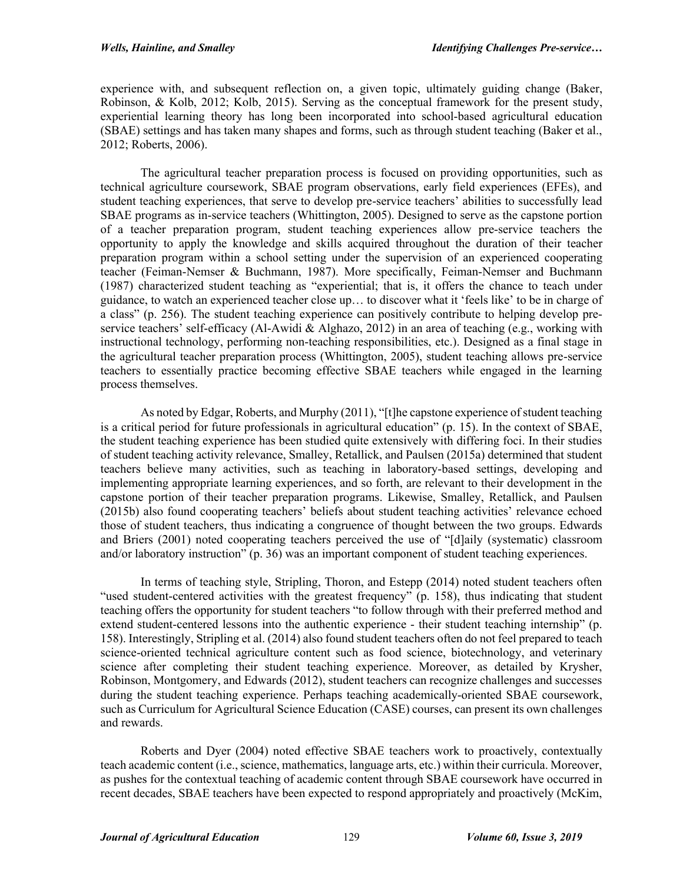experience with, and subsequent reflection on, a given topic, ultimately guiding change (Baker, Robinson, & Kolb, 2012; Kolb, 2015). Serving as the conceptual framework for the present study, experiential learning theory has long been incorporated into school-based agricultural education (SBAE) settings and has taken many shapes and forms, such as through student teaching (Baker et al., 2012; Roberts, 2006).

The agricultural teacher preparation process is focused on providing opportunities, such as technical agriculture coursework, SBAE program observations, early field experiences (EFEs), and student teaching experiences, that serve to develop pre-service teachers' abilities to successfully lead SBAE programs as in-service teachers (Whittington, 2005). Designed to serve as the capstone portion of a teacher preparation program, student teaching experiences allow pre-service teachers the opportunity to apply the knowledge and skills acquired throughout the duration of their teacher preparation program within a school setting under the supervision of an experienced cooperating teacher (Feiman-Nemser & Buchmann, 1987). More specifically, Feiman-Nemser and Buchmann (1987) characterized student teaching as "experiential; that is, it offers the chance to teach under guidance, to watch an experienced teacher close up… to discover what it 'feels like' to be in charge of a class" (p. 256). The student teaching experience can positively contribute to helping develop preservice teachers' self-efficacy (Al-Awidi & Alghazo, 2012) in an area of teaching (e.g., working with instructional technology, performing non-teaching responsibilities, etc.). Designed as a final stage in the agricultural teacher preparation process (Whittington, 2005), student teaching allows pre-service teachers to essentially practice becoming effective SBAE teachers while engaged in the learning process themselves.

As noted by Edgar, Roberts, and Murphy (2011), "[t]he capstone experience of student teaching is a critical period for future professionals in agricultural education" (p. 15). In the context of SBAE, the student teaching experience has been studied quite extensively with differing foci. In their studies of student teaching activity relevance, Smalley, Retallick, and Paulsen (2015a) determined that student teachers believe many activities, such as teaching in laboratory-based settings, developing and implementing appropriate learning experiences, and so forth, are relevant to their development in the capstone portion of their teacher preparation programs. Likewise, Smalley, Retallick, and Paulsen (2015b) also found cooperating teachers' beliefs about student teaching activities' relevance echoed those of student teachers, thus indicating a congruence of thought between the two groups. Edwards and Briers (2001) noted cooperating teachers perceived the use of "[d]aily (systematic) classroom and/or laboratory instruction" (p. 36) was an important component of student teaching experiences.

In terms of teaching style, Stripling, Thoron, and Estepp (2014) noted student teachers often "used student-centered activities with the greatest frequency" (p. 158), thus indicating that student teaching offers the opportunity for student teachers "to follow through with their preferred method and extend student-centered lessons into the authentic experience - their student teaching internship" (p. 158). Interestingly, Stripling et al. (2014) also found student teachers often do not feel prepared to teach science-oriented technical agriculture content such as food science, biotechnology, and veterinary science after completing their student teaching experience. Moreover, as detailed by Krysher, Robinson, Montgomery, and Edwards (2012), student teachers can recognize challenges and successes during the student teaching experience. Perhaps teaching academically-oriented SBAE coursework, such as Curriculum for Agricultural Science Education (CASE) courses, can present its own challenges and rewards.

Roberts and Dyer (2004) noted effective SBAE teachers work to proactively, contextually teach academic content (i.e., science, mathematics, language arts, etc.) within their curricula. Moreover, as pushes for the contextual teaching of academic content through SBAE coursework have occurred in recent decades, SBAE teachers have been expected to respond appropriately and proactively (McKim,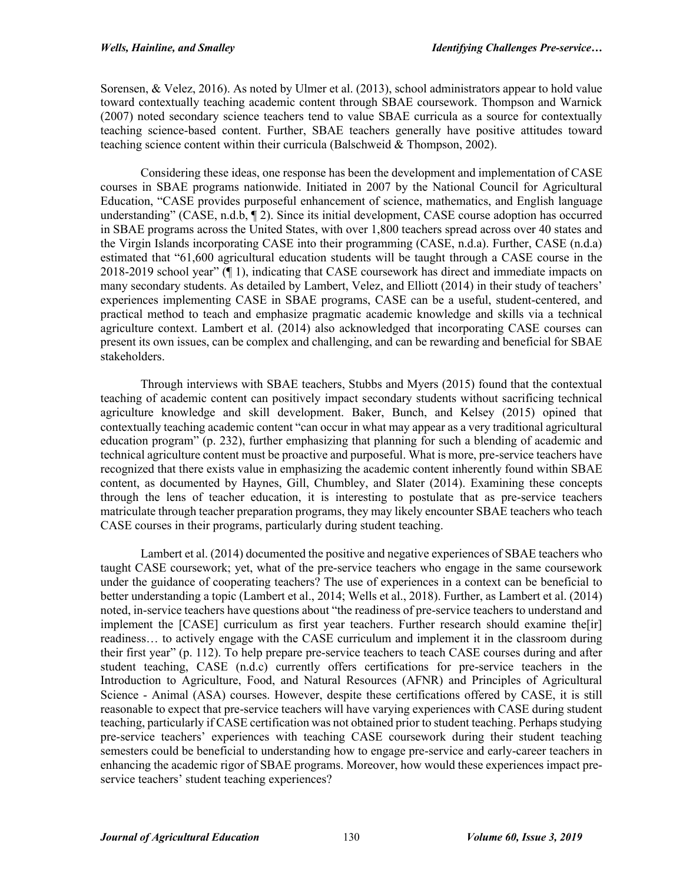Sorensen, & Velez, 2016). As noted by Ulmer et al. (2013), school administrators appear to hold value toward contextually teaching academic content through SBAE coursework. Thompson and Warnick (2007) noted secondary science teachers tend to value SBAE curricula as a source for contextually teaching science-based content. Further, SBAE teachers generally have positive attitudes toward teaching science content within their curricula (Balschweid & Thompson, 2002).

Considering these ideas, one response has been the development and implementation of CASE courses in SBAE programs nationwide. Initiated in 2007 by the National Council for Agricultural Education, "CASE provides purposeful enhancement of science, mathematics, and English language understanding" (CASE, n.d.b,  $\P$  2). Since its initial development, CASE course adoption has occurred in SBAE programs across the United States, with over 1,800 teachers spread across over 40 states and the Virgin Islands incorporating CASE into their programming (CASE, n.d.a). Further, CASE (n.d.a) estimated that "61,600 agricultural education students will be taught through a CASE course in the 2018-2019 school year" (¶ 1), indicating that CASE coursework has direct and immediate impacts on many secondary students. As detailed by Lambert, Velez, and Elliott (2014) in their study of teachers' experiences implementing CASE in SBAE programs, CASE can be a useful, student-centered, and practical method to teach and emphasize pragmatic academic knowledge and skills via a technical agriculture context. Lambert et al. (2014) also acknowledged that incorporating CASE courses can present its own issues, can be complex and challenging, and can be rewarding and beneficial for SBAE stakeholders.

Through interviews with SBAE teachers, Stubbs and Myers (2015) found that the contextual teaching of academic content can positively impact secondary students without sacrificing technical agriculture knowledge and skill development. Baker, Bunch, and Kelsey (2015) opined that contextually teaching academic content "can occur in what may appear as a very traditional agricultural education program" (p. 232), further emphasizing that planning for such a blending of academic and technical agriculture content must be proactive and purposeful. What is more, pre-service teachers have recognized that there exists value in emphasizing the academic content inherently found within SBAE content, as documented by Haynes, Gill, Chumbley, and Slater (2014). Examining these concepts through the lens of teacher education, it is interesting to postulate that as pre-service teachers matriculate through teacher preparation programs, they may likely encounter SBAE teachers who teach CASE courses in their programs, particularly during student teaching.

Lambert et al. (2014) documented the positive and negative experiences of SBAE teachers who taught CASE coursework; yet, what of the pre-service teachers who engage in the same coursework under the guidance of cooperating teachers? The use of experiences in a context can be beneficial to better understanding a topic (Lambert et al., 2014; Wells et al., 2018). Further, as Lambert et al. (2014) noted, in-service teachers have questions about "the readiness of pre-service teachers to understand and implement the [CASE] curriculum as first year teachers. Further research should examine the[ir] readiness… to actively engage with the CASE curriculum and implement it in the classroom during their first year" (p. 112). To help prepare pre-service teachers to teach CASE courses during and after student teaching, CASE (n.d.c) currently offers certifications for pre-service teachers in the Introduction to Agriculture, Food, and Natural Resources (AFNR) and Principles of Agricultural Science - Animal (ASA) courses. However, despite these certifications offered by CASE, it is still reasonable to expect that pre-service teachers will have varying experiences with CASE during student teaching, particularly if CASE certification was not obtained prior to student teaching. Perhaps studying pre-service teachers' experiences with teaching CASE coursework during their student teaching semesters could be beneficial to understanding how to engage pre-service and early-career teachers in enhancing the academic rigor of SBAE programs. Moreover, how would these experiences impact preservice teachers' student teaching experiences?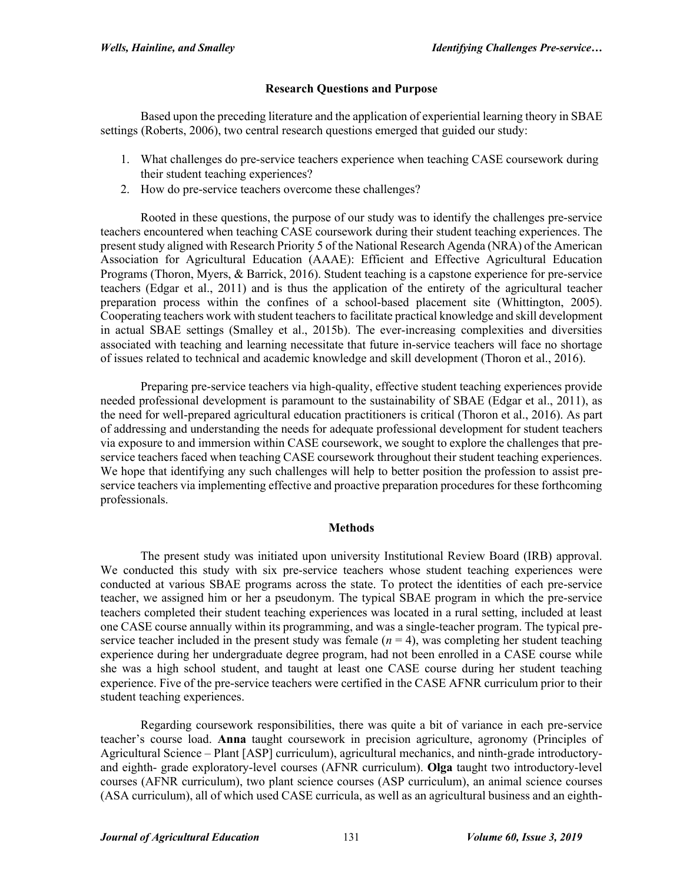# **Research Questions and Purpose**

Based upon the preceding literature and the application of experiential learning theory in SBAE settings (Roberts, 2006), two central research questions emerged that guided our study:

- 1. What challenges do pre-service teachers experience when teaching CASE coursework during their student teaching experiences?
- 2. How do pre-service teachers overcome these challenges?

Rooted in these questions, the purpose of our study was to identify the challenges pre-service teachers encountered when teaching CASE coursework during their student teaching experiences. The present study aligned with Research Priority 5 of the National Research Agenda (NRA) of the American Association for Agricultural Education (AAAE): Efficient and Effective Agricultural Education Programs (Thoron, Myers, & Barrick, 2016). Student teaching is a capstone experience for pre-service teachers (Edgar et al., 2011) and is thus the application of the entirety of the agricultural teacher preparation process within the confines of a school-based placement site (Whittington, 2005). Cooperating teachers work with student teachers to facilitate practical knowledge and skill development in actual SBAE settings (Smalley et al., 2015b). The ever-increasing complexities and diversities associated with teaching and learning necessitate that future in-service teachers will face no shortage of issues related to technical and academic knowledge and skill development (Thoron et al., 2016).

Preparing pre-service teachers via high-quality, effective student teaching experiences provide needed professional development is paramount to the sustainability of SBAE (Edgar et al., 2011), as the need for well-prepared agricultural education practitioners is critical (Thoron et al., 2016). As part of addressing and understanding the needs for adequate professional development for student teachers via exposure to and immersion within CASE coursework, we sought to explore the challenges that preservice teachers faced when teaching CASE coursework throughout their student teaching experiences. We hope that identifying any such challenges will help to better position the profession to assist preservice teachers via implementing effective and proactive preparation procedures for these forthcoming professionals.

## **Methods**

The present study was initiated upon university Institutional Review Board (IRB) approval. We conducted this study with six pre-service teachers whose student teaching experiences were conducted at various SBAE programs across the state. To protect the identities of each pre-service teacher, we assigned him or her a pseudonym. The typical SBAE program in which the pre-service teachers completed their student teaching experiences was located in a rural setting, included at least one CASE course annually within its programming, and was a single-teacher program. The typical preservice teacher included in the present study was female  $(n = 4)$ , was completing her student teaching experience during her undergraduate degree program, had not been enrolled in a CASE course while she was a high school student, and taught at least one CASE course during her student teaching experience. Five of the pre-service teachers were certified in the CASE AFNR curriculum prior to their student teaching experiences.

Regarding coursework responsibilities, there was quite a bit of variance in each pre-service teacher's course load. **Anna** taught coursework in precision agriculture, agronomy (Principles of Agricultural Science – Plant [ASP] curriculum), agricultural mechanics, and ninth-grade introductoryand eighth- grade exploratory-level courses (AFNR curriculum). **Olga** taught two introductory-level courses (AFNR curriculum), two plant science courses (ASP curriculum), an animal science courses (ASA curriculum), all of which used CASE curricula, as well as an agricultural business and an eighth-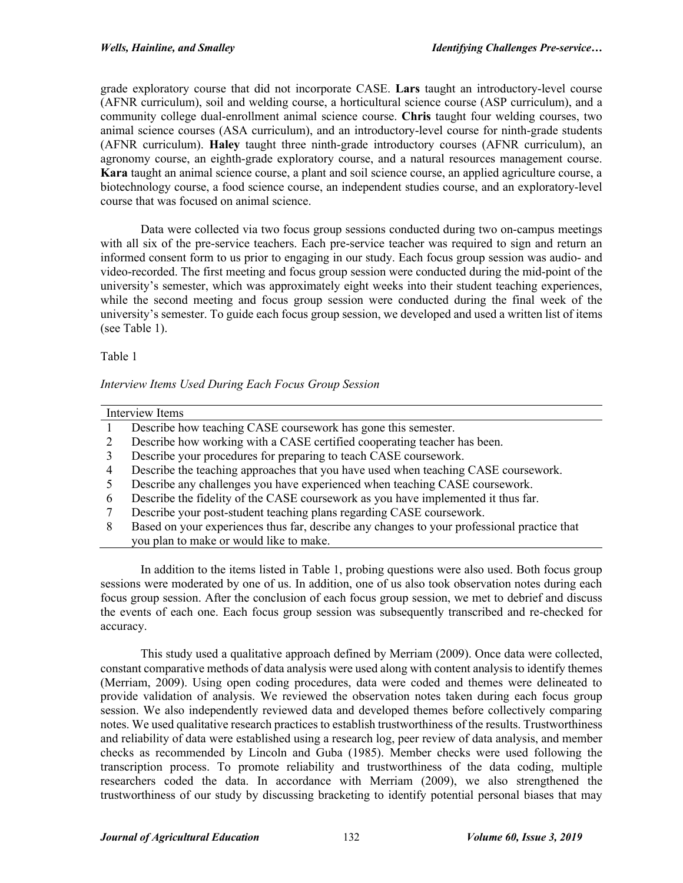grade exploratory course that did not incorporate CASE. **Lars** taught an introductory-level course (AFNR curriculum), soil and welding course, a horticultural science course (ASP curriculum), and a community college dual-enrollment animal science course. **Chris** taught four welding courses, two animal science courses (ASA curriculum), and an introductory-level course for ninth-grade students (AFNR curriculum). **Haley** taught three ninth-grade introductory courses (AFNR curriculum), an agronomy course, an eighth-grade exploratory course, and a natural resources management course. **Kara** taught an animal science course, a plant and soil science course, an applied agriculture course, a biotechnology course, a food science course, an independent studies course, and an exploratory-level course that was focused on animal science.

Data were collected via two focus group sessions conducted during two on-campus meetings with all six of the pre-service teachers. Each pre-service teacher was required to sign and return an informed consent form to us prior to engaging in our study. Each focus group session was audio- and video-recorded. The first meeting and focus group session were conducted during the mid-point of the university's semester, which was approximately eight weeks into their student teaching experiences, while the second meeting and focus group session were conducted during the final week of the university's semester. To guide each focus group session, we developed and used a written list of items (see Table 1).

Table 1

## *Interview Items Used During Each Focus Group Session*

| Interview Items |                                                                                             |
|-----------------|---------------------------------------------------------------------------------------------|
|                 | Describe how teaching CASE coursework has gone this semester.                               |
|                 | Describe how working with a CASE certified cooperating teacher has been.                    |
|                 | Describe your procedures for preparing to teach CASE coursework.                            |
|                 | Describe the teaching approaches that you have used when teaching CASE coursework.          |
|                 | Describe any challenges you have experienced when teaching CASE coursework.                 |
| 6               | Describe the fidelity of the CASE coursework as you have implemented it thus far.           |
|                 | Describe your post-student teaching plans regarding CASE coursework.                        |
| 8               | Based on your experiences thus far, describe any changes to your professional practice that |
|                 | you plan to make or would like to make.                                                     |

In addition to the items listed in Table 1, probing questions were also used. Both focus group sessions were moderated by one of us. In addition, one of us also took observation notes during each focus group session. After the conclusion of each focus group session, we met to debrief and discuss the events of each one. Each focus group session was subsequently transcribed and re-checked for accuracy.

This study used a qualitative approach defined by Merriam (2009). Once data were collected, constant comparative methods of data analysis were used along with content analysis to identify themes (Merriam, 2009). Using open coding procedures, data were coded and themes were delineated to provide validation of analysis. We reviewed the observation notes taken during each focus group session. We also independently reviewed data and developed themes before collectively comparing notes. We used qualitative research practices to establish trustworthiness of the results. Trustworthiness and reliability of data were established using a research log, peer review of data analysis, and member checks as recommended by Lincoln and Guba (1985). Member checks were used following the transcription process. To promote reliability and trustworthiness of the data coding, multiple researchers coded the data. In accordance with Merriam (2009), we also strengthened the trustworthiness of our study by discussing bracketing to identify potential personal biases that may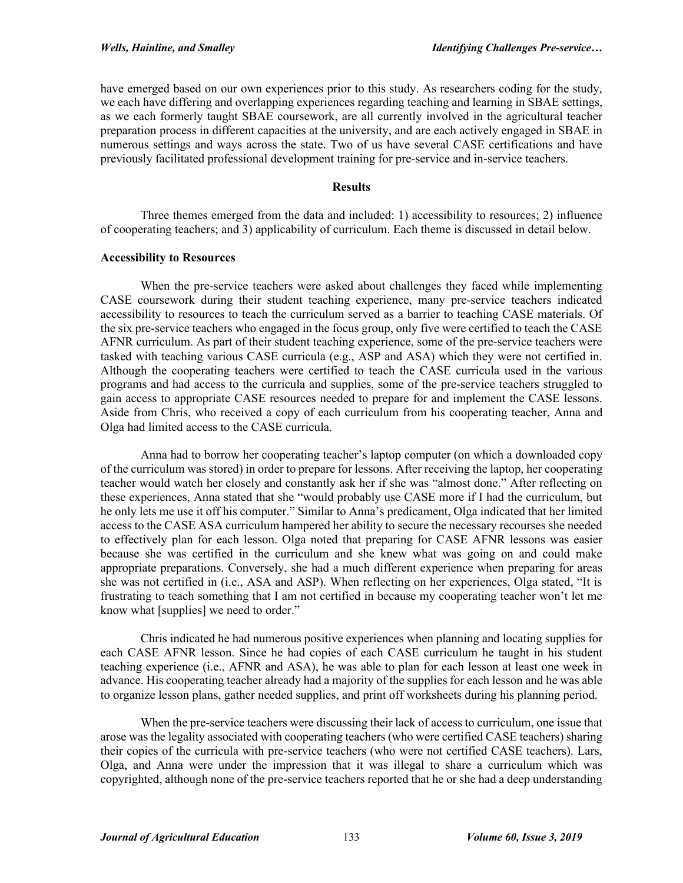have emerged based on our own experiences prior to this study. As researchers coding for the study, we each have differing and overlapping experiences regarding teaching and learning in SBAE settings, as we each formerly taught SBAE coursework, are all currently involved in the agricultural teacher preparation process in different capacities at the university, and are each actively engaged in SBAE in numerous settings and ways across the state. Two of us have several CASE certifications and have previously facilitated professional development training for pre-service and in-service teachers.

## **Results**

Three themes emerged from the data and included: 1) accessibility to resources; 2) influence of cooperating teachers; and 3) applicability of curriculum. Each theme is discussed in detail below.

## **Accessibility to Resources**

When the pre-service teachers were asked about challenges they faced while implementing CASE coursework during their student teaching experience, many pre-service teachers indicated accessibility to resources to teach the curriculum served as a barrier to teaching CASE materials. Of the six pre-service teachers who engaged in the focus group, only five were certified to teach the CASE AFNR curriculum. As part of their student teaching experience, some of the pre-service teachers were tasked with teaching various CASE curricula (e.g., ASP and ASA) which they were not certified in. Although the cooperating teachers were certified to teach the CASE curricula used in the various programs and had access to the curricula and supplies, some of the pre-service teachers struggled to gain access to appropriate CASE resources needed to prepare for and implement the CASE lessons. Aside from Chris, who received a copy of each curriculum from his cooperating teacher, Anna and Olga had limited access to the CASE curricula.

Anna had to borrow her cooperating teacher's laptop computer (on which a downloaded copy of the curriculum was stored) in order to prepare for lessons. After receiving the laptop, her cooperating teacher would watch her closely and constantly ask her if she was "almost done." After reflecting on these experiences, Anna stated that she "would probably use CASE more if I had the curriculum, but he only lets me use it off his computer." Similar to Anna's predicament, Olga indicated that her limited access to the CASE ASA curriculum hampered her ability to secure the necessary recourses she needed to effectively plan for each lesson. Olga noted that preparing for CASE AFNR lessons was easier because she was certified in the curriculum and she knew what was going on and could make appropriate preparations. Conversely, she had a much different experience when preparing for areas she was not certified in (i.e., ASA and ASP). When reflecting on her experiences, Olga stated, "It is frustrating to teach something that I am not certified in because my cooperating teacher won't let me know what [supplies] we need to order."

Chris indicated he had numerous positive experiences when planning and locating supplies for each CASE AFNR lesson. Since he had copies of each CASE curriculum he taught in his student teaching experience (i.e., AFNR and ASA), he was able to plan for each lesson at least one week in advance. His cooperating teacher already had a majority of the supplies for each lesson and he was able to organize lesson plans, gather needed supplies, and print off worksheets during his planning period.

When the pre-service teachers were discussing their lack of access to curriculum, one issue that arose was the legality associated with cooperating teachers (who were certified CASE teachers) sharing their copies of the curricula with pre-service teachers (who were not certified CASE teachers). Lars, Olga, and Anna were under the impression that it was illegal to share a curriculum which was copyrighted, although none of the pre-service teachers reported that he or she had a deep understanding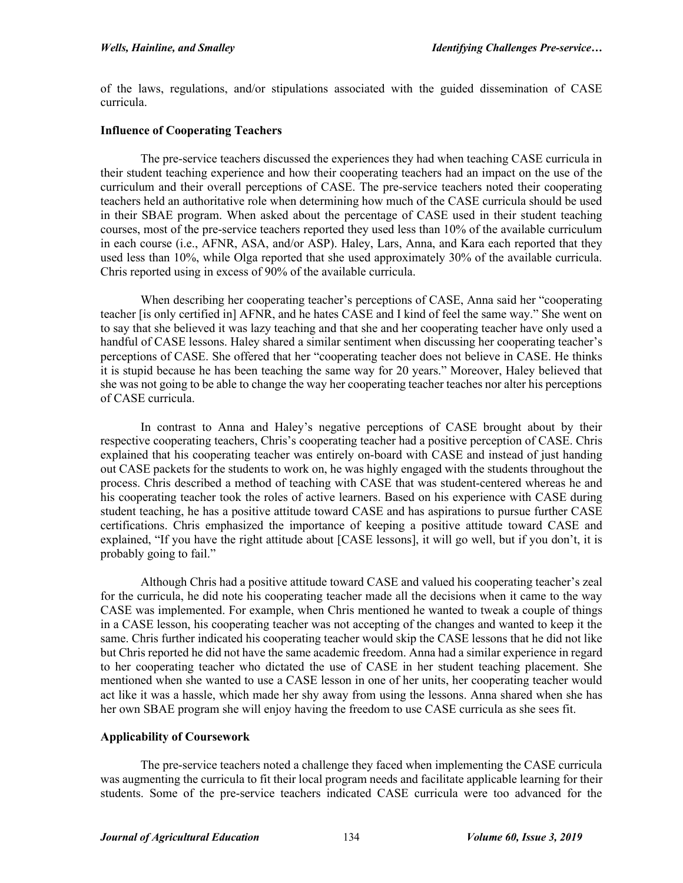of the laws, regulations, and/or stipulations associated with the guided dissemination of CASE curricula.

#### **Influence of Cooperating Teachers**

The pre-service teachers discussed the experiences they had when teaching CASE curricula in their student teaching experience and how their cooperating teachers had an impact on the use of the curriculum and their overall perceptions of CASE. The pre-service teachers noted their cooperating teachers held an authoritative role when determining how much of the CASE curricula should be used in their SBAE program. When asked about the percentage of CASE used in their student teaching courses, most of the pre-service teachers reported they used less than 10% of the available curriculum in each course (i.e., AFNR, ASA, and/or ASP). Haley, Lars, Anna, and Kara each reported that they used less than 10%, while Olga reported that she used approximately 30% of the available curricula. Chris reported using in excess of 90% of the available curricula.

When describing her cooperating teacher's perceptions of CASE, Anna said her "cooperating teacher [is only certified in] AFNR, and he hates CASE and I kind of feel the same way." She went on to say that she believed it was lazy teaching and that she and her cooperating teacher have only used a handful of CASE lessons. Haley shared a similar sentiment when discussing her cooperating teacher's perceptions of CASE. She offered that her "cooperating teacher does not believe in CASE. He thinks it is stupid because he has been teaching the same way for 20 years." Moreover, Haley believed that she was not going to be able to change the way her cooperating teacher teaches nor alter his perceptions of CASE curricula.

In contrast to Anna and Haley's negative perceptions of CASE brought about by their respective cooperating teachers, Chris's cooperating teacher had a positive perception of CASE. Chris explained that his cooperating teacher was entirely on-board with CASE and instead of just handing out CASE packets for the students to work on, he was highly engaged with the students throughout the process. Chris described a method of teaching with CASE that was student-centered whereas he and his cooperating teacher took the roles of active learners. Based on his experience with CASE during student teaching, he has a positive attitude toward CASE and has aspirations to pursue further CASE certifications. Chris emphasized the importance of keeping a positive attitude toward CASE and explained, "If you have the right attitude about [CASE lessons], it will go well, but if you don't, it is probably going to fail."

Although Chris had a positive attitude toward CASE and valued his cooperating teacher's zeal for the curricula, he did note his cooperating teacher made all the decisions when it came to the way CASE was implemented. For example, when Chris mentioned he wanted to tweak a couple of things in a CASE lesson, his cooperating teacher was not accepting of the changes and wanted to keep it the same. Chris further indicated his cooperating teacher would skip the CASE lessons that he did not like but Chris reported he did not have the same academic freedom. Anna had a similar experience in regard to her cooperating teacher who dictated the use of CASE in her student teaching placement. She mentioned when she wanted to use a CASE lesson in one of her units, her cooperating teacher would act like it was a hassle, which made her shy away from using the lessons. Anna shared when she has her own SBAE program she will enjoy having the freedom to use CASE curricula as she sees fit.

## **Applicability of Coursework**

The pre-service teachers noted a challenge they faced when implementing the CASE curricula was augmenting the curricula to fit their local program needs and facilitate applicable learning for their students. Some of the pre-service teachers indicated CASE curricula were too advanced for the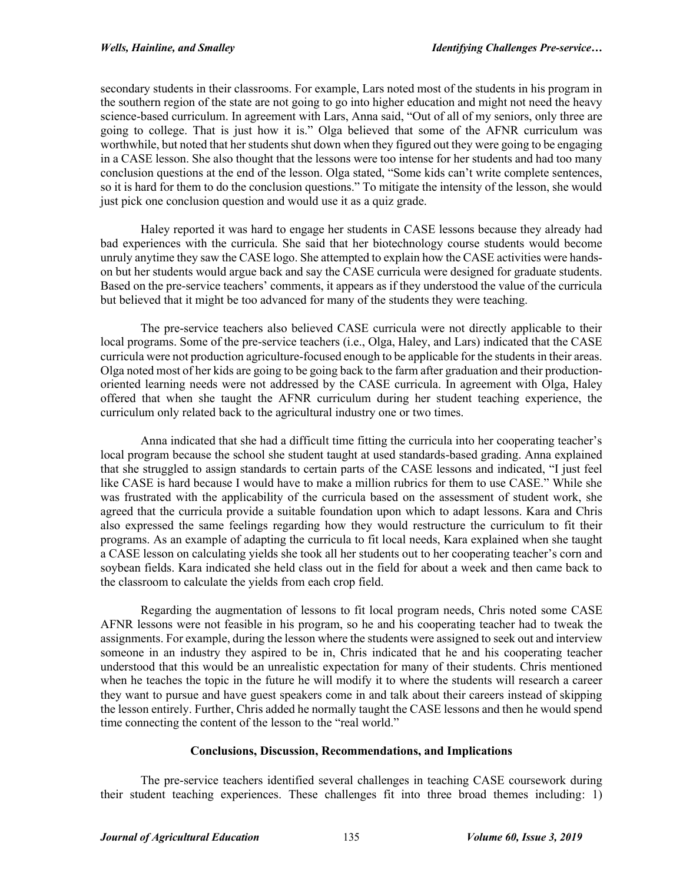secondary students in their classrooms. For example, Lars noted most of the students in his program in the southern region of the state are not going to go into higher education and might not need the heavy science-based curriculum. In agreement with Lars, Anna said, "Out of all of my seniors, only three are going to college. That is just how it is." Olga believed that some of the AFNR curriculum was worthwhile, but noted that her students shut down when they figured out they were going to be engaging in a CASE lesson. She also thought that the lessons were too intense for her students and had too many conclusion questions at the end of the lesson. Olga stated, "Some kids can't write complete sentences, so it is hard for them to do the conclusion questions." To mitigate the intensity of the lesson, she would just pick one conclusion question and would use it as a quiz grade.

Haley reported it was hard to engage her students in CASE lessons because they already had bad experiences with the curricula. She said that her biotechnology course students would become unruly anytime they saw the CASE logo. She attempted to explain how the CASE activities were handson but her students would argue back and say the CASE curricula were designed for graduate students. Based on the pre-service teachers' comments, it appears as if they understood the value of the curricula but believed that it might be too advanced for many of the students they were teaching.

The pre-service teachers also believed CASE curricula were not directly applicable to their local programs. Some of the pre-service teachers (i.e., Olga, Haley, and Lars) indicated that the CASE curricula were not production agriculture-focused enough to be applicable for the students in their areas. Olga noted most of her kids are going to be going back to the farm after graduation and their productionoriented learning needs were not addressed by the CASE curricula. In agreement with Olga, Haley offered that when she taught the AFNR curriculum during her student teaching experience, the curriculum only related back to the agricultural industry one or two times.

Anna indicated that she had a difficult time fitting the curricula into her cooperating teacher's local program because the school she student taught at used standards-based grading. Anna explained that she struggled to assign standards to certain parts of the CASE lessons and indicated, "I just feel like CASE is hard because I would have to make a million rubrics for them to use CASE." While she was frustrated with the applicability of the curricula based on the assessment of student work, she agreed that the curricula provide a suitable foundation upon which to adapt lessons. Kara and Chris also expressed the same feelings regarding how they would restructure the curriculum to fit their programs. As an example of adapting the curricula to fit local needs, Kara explained when she taught a CASE lesson on calculating yields she took all her students out to her cooperating teacher's corn and soybean fields. Kara indicated she held class out in the field for about a week and then came back to the classroom to calculate the yields from each crop field.

Regarding the augmentation of lessons to fit local program needs, Chris noted some CASE AFNR lessons were not feasible in his program, so he and his cooperating teacher had to tweak the assignments. For example, during the lesson where the students were assigned to seek out and interview someone in an industry they aspired to be in, Chris indicated that he and his cooperating teacher understood that this would be an unrealistic expectation for many of their students. Chris mentioned when he teaches the topic in the future he will modify it to where the students will research a career they want to pursue and have guest speakers come in and talk about their careers instead of skipping the lesson entirely. Further, Chris added he normally taught the CASE lessons and then he would spend time connecting the content of the lesson to the "real world."

## **Conclusions, Discussion, Recommendations, and Implications**

The pre-service teachers identified several challenges in teaching CASE coursework during their student teaching experiences. These challenges fit into three broad themes including: 1)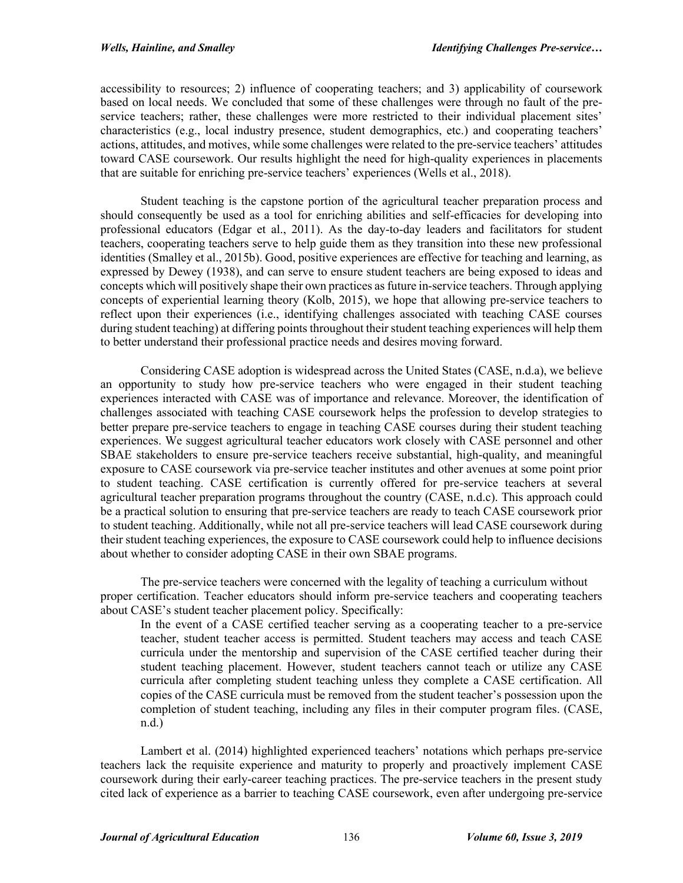accessibility to resources; 2) influence of cooperating teachers; and 3) applicability of coursework based on local needs. We concluded that some of these challenges were through no fault of the preservice teachers; rather, these challenges were more restricted to their individual placement sites' characteristics (e.g., local industry presence, student demographics, etc.) and cooperating teachers' actions, attitudes, and motives, while some challenges were related to the pre-service teachers' attitudes toward CASE coursework. Our results highlight the need for high-quality experiences in placements that are suitable for enriching pre-service teachers' experiences (Wells et al., 2018).

Student teaching is the capstone portion of the agricultural teacher preparation process and should consequently be used as a tool for enriching abilities and self-efficacies for developing into professional educators (Edgar et al., 2011). As the day-to-day leaders and facilitators for student teachers, cooperating teachers serve to help guide them as they transition into these new professional identities (Smalley et al., 2015b). Good, positive experiences are effective for teaching and learning, as expressed by Dewey (1938), and can serve to ensure student teachers are being exposed to ideas and concepts which will positively shape their own practices as future in-service teachers. Through applying concepts of experiential learning theory (Kolb, 2015), we hope that allowing pre-service teachers to reflect upon their experiences (i.e., identifying challenges associated with teaching CASE courses during student teaching) at differing points throughout their student teaching experiences will help them to better understand their professional practice needs and desires moving forward.

Considering CASE adoption is widespread across the United States (CASE, n.d.a), we believe an opportunity to study how pre-service teachers who were engaged in their student teaching experiences interacted with CASE was of importance and relevance. Moreover, the identification of challenges associated with teaching CASE coursework helps the profession to develop strategies to better prepare pre-service teachers to engage in teaching CASE courses during their student teaching experiences. We suggest agricultural teacher educators work closely with CASE personnel and other SBAE stakeholders to ensure pre-service teachers receive substantial, high-quality, and meaningful exposure to CASE coursework via pre-service teacher institutes and other avenues at some point prior to student teaching. CASE certification is currently offered for pre-service teachers at several agricultural teacher preparation programs throughout the country (CASE, n.d.c). This approach could be a practical solution to ensuring that pre-service teachers are ready to teach CASE coursework prior to student teaching. Additionally, while not all pre-service teachers will lead CASE coursework during their student teaching experiences, the exposure to CASE coursework could help to influence decisions about whether to consider adopting CASE in their own SBAE programs.

The pre-service teachers were concerned with the legality of teaching a curriculum without proper certification. Teacher educators should inform pre-service teachers and cooperating teachers about CASE's student teacher placement policy. Specifically:

In the event of a CASE certified teacher serving as a cooperating teacher to a pre-service teacher, student teacher access is permitted. Student teachers may access and teach CASE curricula under the mentorship and supervision of the CASE certified teacher during their student teaching placement. However, student teachers cannot teach or utilize any CASE curricula after completing student teaching unless they complete a CASE certification. All copies of the CASE curricula must be removed from the student teacher's possession upon the completion of student teaching, including any files in their computer program files. (CASE, n.d.)

Lambert et al. (2014) highlighted experienced teachers' notations which perhaps pre-service teachers lack the requisite experience and maturity to properly and proactively implement CASE coursework during their early-career teaching practices. The pre-service teachers in the present study cited lack of experience as a barrier to teaching CASE coursework, even after undergoing pre-service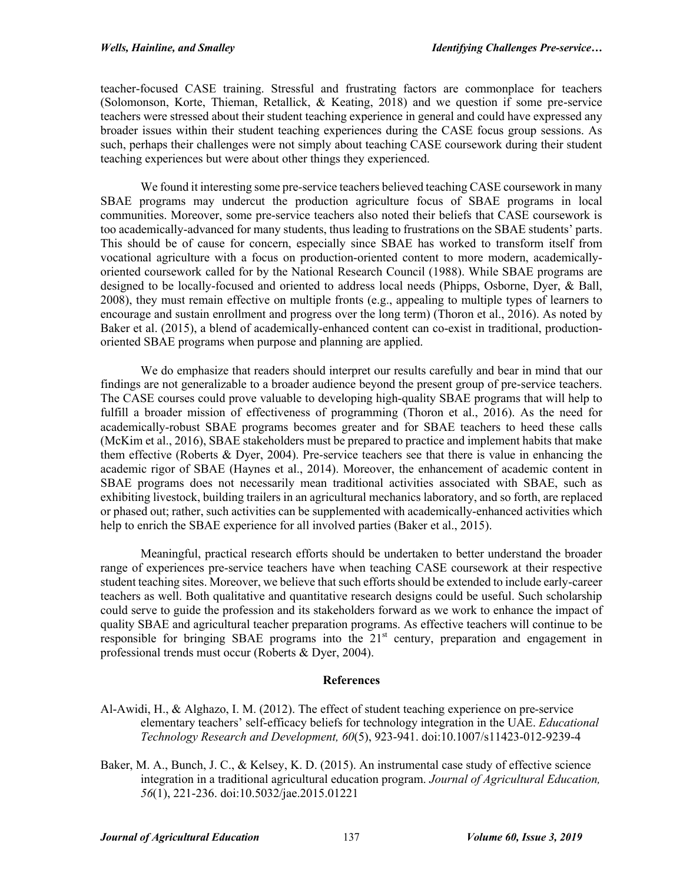teacher-focused CASE training. Stressful and frustrating factors are commonplace for teachers (Solomonson, Korte, Thieman, Retallick, & Keating, 2018) and we question if some pre-service teachers were stressed about their student teaching experience in general and could have expressed any broader issues within their student teaching experiences during the CASE focus group sessions. As such, perhaps their challenges were not simply about teaching CASE coursework during their student teaching experiences but were about other things they experienced.

We found it interesting some pre-service teachers believed teaching CASE coursework in many SBAE programs may undercut the production agriculture focus of SBAE programs in local communities. Moreover, some pre-service teachers also noted their beliefs that CASE coursework is too academically-advanced for many students, thus leading to frustrations on the SBAE students' parts. This should be of cause for concern, especially since SBAE has worked to transform itself from vocational agriculture with a focus on production-oriented content to more modern, academicallyoriented coursework called for by the National Research Council (1988). While SBAE programs are designed to be locally-focused and oriented to address local needs (Phipps, Osborne, Dyer, & Ball, 2008), they must remain effective on multiple fronts (e.g., appealing to multiple types of learners to encourage and sustain enrollment and progress over the long term) (Thoron et al., 2016). As noted by Baker et al. (2015), a blend of academically-enhanced content can co-exist in traditional, productionoriented SBAE programs when purpose and planning are applied.

We do emphasize that readers should interpret our results carefully and bear in mind that our findings are not generalizable to a broader audience beyond the present group of pre-service teachers. The CASE courses could prove valuable to developing high-quality SBAE programs that will help to fulfill a broader mission of effectiveness of programming (Thoron et al., 2016). As the need for academically-robust SBAE programs becomes greater and for SBAE teachers to heed these calls (McKim et al., 2016), SBAE stakeholders must be prepared to practice and implement habits that make them effective (Roberts & Dyer, 2004). Pre-service teachers see that there is value in enhancing the academic rigor of SBAE (Haynes et al., 2014). Moreover, the enhancement of academic content in SBAE programs does not necessarily mean traditional activities associated with SBAE, such as exhibiting livestock, building trailers in an agricultural mechanics laboratory, and so forth, are replaced or phased out; rather, such activities can be supplemented with academically-enhanced activities which help to enrich the SBAE experience for all involved parties (Baker et al., 2015).

Meaningful, practical research efforts should be undertaken to better understand the broader range of experiences pre-service teachers have when teaching CASE coursework at their respective student teaching sites. Moreover, we believe that such efforts should be extended to include early-career teachers as well. Both qualitative and quantitative research designs could be useful. Such scholarship could serve to guide the profession and its stakeholders forward as we work to enhance the impact of quality SBAE and agricultural teacher preparation programs. As effective teachers will continue to be responsible for bringing SBAE programs into the 21<sup>st</sup> century, preparation and engagement in professional trends must occur (Roberts & Dyer, 2004).

## **References**

- Al-Awidi, H., & Alghazo, I. M. (2012). The effect of student teaching experience on pre-service elementary teachers' self-efficacy beliefs for technology integration in the UAE. *Educational Technology Research and Development, 60*(5), 923-941. doi:10.1007/s11423-012-9239-4
- Baker, M. A., Bunch, J. C., & Kelsey, K. D. (2015). An instrumental case study of effective science integration in a traditional agricultural education program. *Journal of Agricultural Education, 56*(1), 221-236. doi:10.5032/jae.2015.01221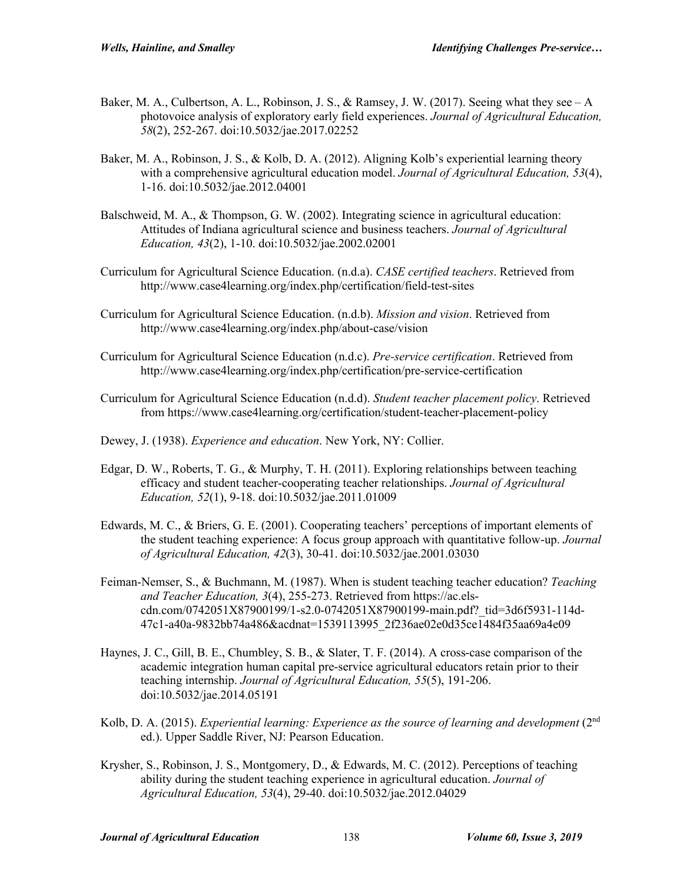- Baker, M. A., Culbertson, A. L., Robinson, J. S., & Ramsey, J. W. (2017). Seeing what they see  $-A$ photovoice analysis of exploratory early field experiences. *Journal of Agricultural Education, 58*(2), 252-267. doi:10.5032/jae.2017.02252
- Baker, M. A., Robinson, J. S., & Kolb, D. A. (2012). Aligning Kolb's experiential learning theory with a comprehensive agricultural education model. *Journal of Agricultural Education, 53*(4), 1-16. doi:10.5032/jae.2012.04001
- Balschweid, M. A., & Thompson, G. W. (2002). Integrating science in agricultural education: Attitudes of Indiana agricultural science and business teachers. *Journal of Agricultural Education, 43*(2), 1-10. doi:10.5032/jae.2002.02001
- Curriculum for Agricultural Science Education. (n.d.a). *CASE certified teachers*. Retrieved from http://www.case4learning.org/index.php/certification/field-test-sites
- Curriculum for Agricultural Science Education. (n.d.b). *Mission and vision*. Retrieved from http://www.case4learning.org/index.php/about-case/vision
- Curriculum for Agricultural Science Education (n.d.c). *Pre-service certification*. Retrieved from http://www.case4learning.org/index.php/certification/pre-service-certification
- Curriculum for Agricultural Science Education (n.d.d). *Student teacher placement policy*. Retrieved from https://www.case4learning.org/certification/student-teacher-placement-policy
- Dewey, J. (1938). *Experience and education*. New York, NY: Collier.
- Edgar, D. W., Roberts, T. G., & Murphy, T. H. (2011). Exploring relationships between teaching efficacy and student teacher-cooperating teacher relationships. *Journal of Agricultural Education, 52*(1), 9-18. doi:10.5032/jae.2011.01009
- Edwards, M. C., & Briers, G. E. (2001). Cooperating teachers' perceptions of important elements of the student teaching experience: A focus group approach with quantitative follow-up. *Journal of Agricultural Education, 42*(3), 30-41. doi:10.5032/jae.2001.03030
- Feiman-Nemser, S., & Buchmann, M. (1987). When is student teaching teacher education? *Teaching and Teacher Education, 3*(4), 255-273. Retrieved from https://ac.elscdn.com/0742051X87900199/1-s2.0-0742051X87900199-main.pdf?\_tid=3d6f5931-114d-47c1-a40a-9832bb74a486&acdnat=1539113995\_2f236ae02e0d35ce1484f35aa69a4e09
- Haynes, J. C., Gill, B. E., Chumbley, S. B., & Slater, T. F. (2014). A cross-case comparison of the academic integration human capital pre-service agricultural educators retain prior to their teaching internship. *Journal of Agricultural Education, 55*(5), 191-206. doi:10.5032/jae.2014.05191
- Kolb, D. A. (2015). *Experiential learning: Experience as the source of learning and development* (2<sup>nd</sup> ed.). Upper Saddle River, NJ: Pearson Education.
- Krysher, S., Robinson, J. S., Montgomery, D., & Edwards, M. C. (2012). Perceptions of teaching ability during the student teaching experience in agricultural education. *Journal of Agricultural Education, 53*(4), 29-40. doi:10.5032/jae.2012.04029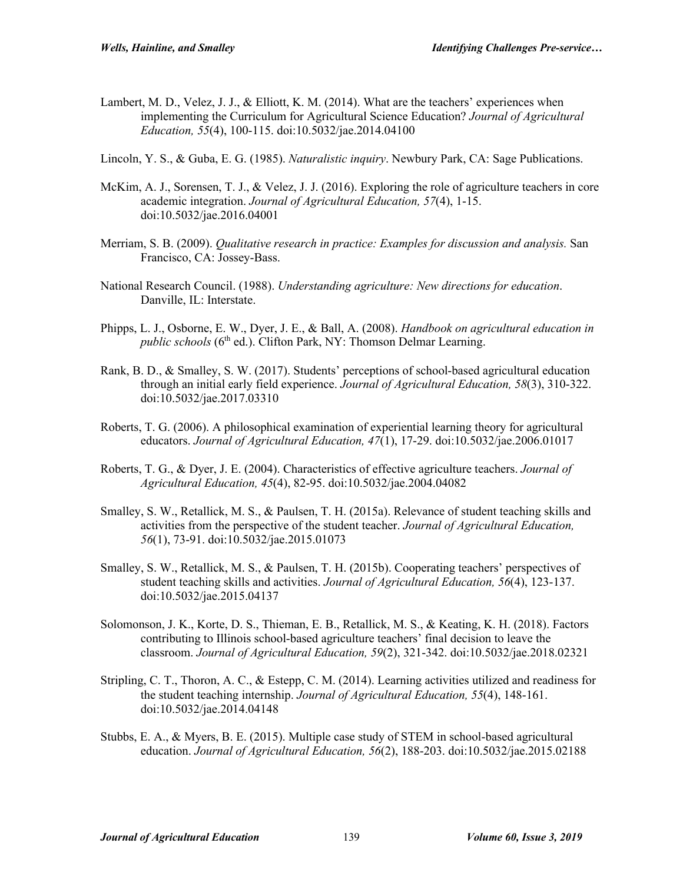- Lambert, M. D., Velez, J. J., & Elliott, K. M. (2014). What are the teachers' experiences when implementing the Curriculum for Agricultural Science Education? *Journal of Agricultural Education, 55*(4), 100-115. doi:10.5032/jae.2014.04100
- Lincoln, Y. S., & Guba, E. G. (1985). *Naturalistic inquiry*. Newbury Park, CA: Sage Publications.
- McKim, A. J., Sorensen, T. J., & Velez, J. J. (2016). Exploring the role of agriculture teachers in core academic integration. *Journal of Agricultural Education, 57*(4), 1-15. doi:10.5032/jae.2016.04001
- Merriam, S. B. (2009). *Qualitative research in practice: Examples for discussion and analysis.* San Francisco, CA: Jossey-Bass.
- National Research Council. (1988). *Understanding agriculture: New directions for education*. Danville, IL: Interstate.
- Phipps, L. J., Osborne, E. W., Dyer, J. E., & Ball, A. (2008). *Handbook on agricultural education in public schools* (6<sup>th</sup> ed.). Clifton Park, NY: Thomson Delmar Learning.
- Rank, B. D., & Smalley, S. W. (2017). Students' perceptions of school-based agricultural education through an initial early field experience. *Journal of Agricultural Education, 58*(3), 310-322. doi:10.5032/jae.2017.03310
- Roberts, T. G. (2006). A philosophical examination of experiential learning theory for agricultural educators. *Journal of Agricultural Education, 47*(1), 17-29. doi:10.5032/jae.2006.01017
- Roberts, T. G., & Dyer, J. E. (2004). Characteristics of effective agriculture teachers. *Journal of Agricultural Education, 45*(4), 82-95. doi:10.5032/jae.2004.04082
- Smalley, S. W., Retallick, M. S., & Paulsen, T. H. (2015a). Relevance of student teaching skills and activities from the perspective of the student teacher. *Journal of Agricultural Education, 56*(1), 73-91. doi:10.5032/jae.2015.01073
- Smalley, S. W., Retallick, M. S., & Paulsen, T. H. (2015b). Cooperating teachers' perspectives of student teaching skills and activities. *Journal of Agricultural Education, 56*(4), 123-137. doi:10.5032/jae.2015.04137
- Solomonson, J. K., Korte, D. S., Thieman, E. B., Retallick, M. S., & Keating, K. H. (2018). Factors contributing to Illinois school-based agriculture teachers' final decision to leave the classroom. *Journal of Agricultural Education, 59*(2), 321-342. doi:10.5032/jae.2018.02321
- Stripling, C. T., Thoron, A. C., & Estepp, C. M. (2014). Learning activities utilized and readiness for the student teaching internship. *Journal of Agricultural Education, 55*(4), 148-161. doi:10.5032/jae.2014.04148
- Stubbs, E. A., & Myers, B. E. (2015). Multiple case study of STEM in school-based agricultural education. *Journal of Agricultural Education, 56*(2), 188-203. doi:10.5032/jae.2015.02188